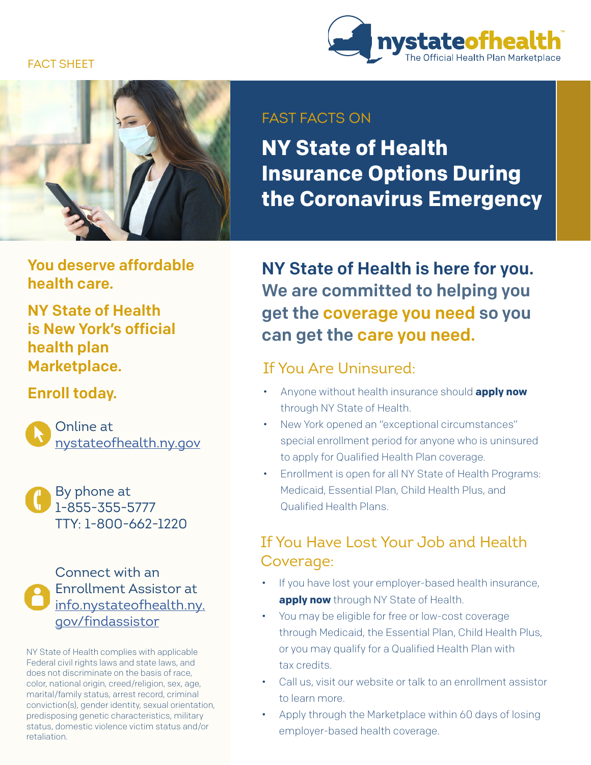#### FACT SHEET





#### FAST FACTS ON

**NY State of Health Insurance Options During the Coronavirus Emergency**

You deserve affordable health care.

NY State of Health is New York's official health plan Marketplace.

#### Enroll today.

Online at [nystateofhealth.ny.gov](https://nystateofhealth.ny.gov/)

By phone at 1-855-355-5777 TTY: 1-800-662-1220

Connect with an Enrollment Assistor at [info.nystateofhealth.ny.](https://nystateofhealth.ny.gov/agent/hx_brokerSearch) gov/findassistor

NY State of Health complies with applicable Federal civil rights laws and state laws, and does not discriminate on the basis of race, color, national origin, creed/religion, sex, age, marital/family status, arrest record, criminal conviction(s), gender identity, sexual orientation, predisposing genetic characteristics, military status, domestic violence victim status and/or retaliation.

NY State of Health is here for you. We are committed to helping you get the coverage you need so you can get the care you need.

#### If You Are Uninsured:

- Anyone without health insurance should **apply now**  through NY State of Health.
- New York opened an "exceptional circumstances" special enrollment period for anyone who is uninsured to apply for Qualified Health Plan coverage.
- Enrollment is open for all NY State of Health Programs: Medicaid, Essential Plan, Child Health Plus, and Qualified Health Plans.

### If You Have Lost Your Job and Health Coverage:

- If you have lost your employer-based health insurance, **apply now** through NY State of Health.
- You may be eligible for free or low-cost coverage through Medicaid, the Essential Plan, Child Health Plus, or you may qualify for a Qualified Health Plan with tax credits.
- Call us, visit our website or talk to an enrollment assistor to learn more.
- Apply through the Marketplace within 60 days of losing employer-based health coverage.